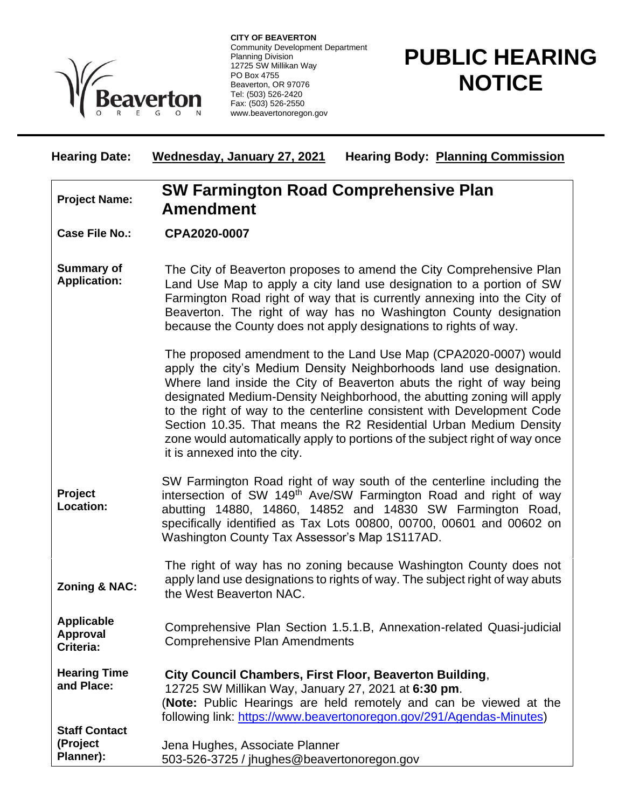

**CITY OF BEAVERTON** Community Development Department Planning Division 12725 SW Millikan Way PO Box 4755 Beaverton, OR 97076 Tel: (503) 526-2420 Fax: (503) 526-2550 www.beavertonoregon.gov

## **PUBLIC HEARING NOTICE**

| <b>Hearing Date:</b>                              | <b>Hearing Body: Planning Commission</b><br>Wednesday, January 27, 2021                                                                                                                                                                                                                                                                                                                                                                                                                                                                                |
|---------------------------------------------------|--------------------------------------------------------------------------------------------------------------------------------------------------------------------------------------------------------------------------------------------------------------------------------------------------------------------------------------------------------------------------------------------------------------------------------------------------------------------------------------------------------------------------------------------------------|
| <b>Project Name:</b>                              | <b>SW Farmington Road Comprehensive Plan</b><br><b>Amendment</b>                                                                                                                                                                                                                                                                                                                                                                                                                                                                                       |
| <b>Case File No.:</b>                             | CPA2020-0007                                                                                                                                                                                                                                                                                                                                                                                                                                                                                                                                           |
| <b>Summary of</b><br><b>Application:</b>          | The City of Beaverton proposes to amend the City Comprehensive Plan<br>Land Use Map to apply a city land use designation to a portion of SW<br>Farmington Road right of way that is currently annexing into the City of<br>Beaverton. The right of way has no Washington County designation<br>because the County does not apply designations to rights of way.                                                                                                                                                                                        |
|                                                   | The proposed amendment to the Land Use Map (CPA2020-0007) would<br>apply the city's Medium Density Neighborhoods land use designation.<br>Where land inside the City of Beaverton abuts the right of way being<br>designated Medium-Density Neighborhood, the abutting zoning will apply<br>to the right of way to the centerline consistent with Development Code<br>Section 10.35. That means the R2 Residential Urban Medium Density<br>zone would automatically apply to portions of the subject right of way once<br>it is annexed into the city. |
| <b>Project</b><br><b>Location:</b>                | SW Farmington Road right of way south of the centerline including the<br>intersection of SW 149 <sup>th</sup> Ave/SW Farmington Road and right of way<br>abutting 14880, 14860, 14852 and 14830 SW Farmington Road,<br>specifically identified as Tax Lots 00800, 00700, 00601 and 00602 on<br>Washington County Tax Assessor's Map 1S117AD.                                                                                                                                                                                                           |
| <b>Zoning &amp; NAC:</b>                          | The right of way has no zoning because Washington County does not<br>apply land use designations to rights of way. The subject right of way abuts<br>the West Beaverton NAC.                                                                                                                                                                                                                                                                                                                                                                           |
| <b>Applicable</b><br><b>Approval</b><br>Criteria: | Comprehensive Plan Section 1.5.1.B, Annexation-related Quasi-judicial<br><b>Comprehensive Plan Amendments</b>                                                                                                                                                                                                                                                                                                                                                                                                                                          |
| <b>Hearing Time</b><br>and Place:                 | City Council Chambers, First Floor, Beaverton Building,<br>12725 SW Millikan Way, January 27, 2021 at 6:30 pm.<br>(Note: Public Hearings are held remotely and can be viewed at the<br>following link: https://www.beavertonoregon.gov/291/Agendas-Minutes)                                                                                                                                                                                                                                                                                            |
| <b>Staff Contact</b><br>(Project<br>Planner):     | Jena Hughes, Associate Planner<br>503-526-3725 / jhughes@beavertonoregon.gov                                                                                                                                                                                                                                                                                                                                                                                                                                                                           |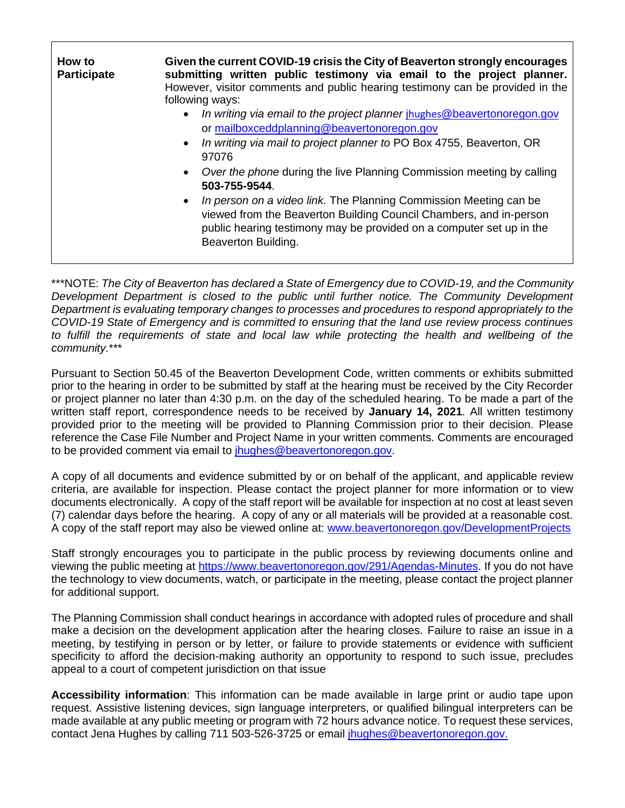| How to<br><b>Participate</b> | Given the current COVID-19 crisis the City of Beaverton strongly encourages<br>submitting written public testimony via email to the project planner.<br>However, visitor comments and public hearing testimony can be provided in the<br>following ways:<br>In writing via email to the project planner jhughes@beavertonoregon.gov<br>or mailboxceddplanning@beavertonoregon.gov<br>• In writing via mail to project planner to PO Box 4755, Beaverton, OR<br>97076<br>Over the phone during the live Planning Commission meeting by calling<br>503-755-9544.<br>• In person on a video link. The Planning Commission Meeting can be<br>viewed from the Beaverton Building Council Chambers, and in-person<br>public hearing testimony may be provided on a computer set up in the<br>Beaverton Building. |
|------------------------------|------------------------------------------------------------------------------------------------------------------------------------------------------------------------------------------------------------------------------------------------------------------------------------------------------------------------------------------------------------------------------------------------------------------------------------------------------------------------------------------------------------------------------------------------------------------------------------------------------------------------------------------------------------------------------------------------------------------------------------------------------------------------------------------------------------|
|------------------------------|------------------------------------------------------------------------------------------------------------------------------------------------------------------------------------------------------------------------------------------------------------------------------------------------------------------------------------------------------------------------------------------------------------------------------------------------------------------------------------------------------------------------------------------------------------------------------------------------------------------------------------------------------------------------------------------------------------------------------------------------------------------------------------------------------------|

\*\*\*NOTE: *The City of Beaverton has declared a State of Emergency due to COVID-19, and the Community*  Development Department is closed to the public until further notice. The Community Development *Department is evaluating temporary changes to processes and procedures to respond appropriately to the COVID-19 State of Emergency and is committed to ensuring that the land use review process continues*  to fulfill the requirements of state and local law while protecting the health and wellbeing of the *community.*\*\*\*

Pursuant to Section 50.45 of the Beaverton Development Code, written comments or exhibits submitted prior to the hearing in order to be submitted by staff at the hearing must be received by the City Recorder or project planner no later than 4:30 p.m. on the day of the scheduled hearing. To be made a part of the written staff report, correspondence needs to be received by **January 14, 2021**. All written testimony provided prior to the meeting will be provided to Planning Commission prior to their decision. Please reference the Case File Number and Project Name in your written comments. Comments are encouraged to be provided comment via email to [jhughes@beavertonoregon.gov.](mailto:jhughes@beavertonoregon.gov)

A copy of all documents and evidence submitted by or on behalf of the applicant, and applicable review criteria, are available for inspection. Please contact the project planner for more information or to view documents electronically. A copy of the staff report will be available for inspection at no cost at least seven (7) calendar days before the hearing. A copy of any or all materials will be provided at a reasonable cost. A copy of the staff report may also be viewed online at: [www.beavertonoregon.gov/DevelopmentProjects](http://www.beavertonoregon.gov/DevelopmentProjects)

Staff strongly encourages you to participate in the public process by reviewing documents online and viewing the public meeting at [https://www.beavertonoregon.gov/291/Agendas-Minutes.](https://www.beavertonoregon.gov/291/Agendas-Minutes) If you do not have the technology to view documents, watch, or participate in the meeting, please contact the project planner for additional support.

The Planning Commission shall conduct hearings in accordance with adopted rules of procedure and shall make a decision on the development application after the hearing closes. Failure to raise an issue in a meeting, by testifying in person or by letter, or failure to provide statements or evidence with sufficient specificity to afford the decision-making authority an opportunity to respond to such issue, precludes appeal to a court of competent jurisdiction on that issue

**Accessibility information**: This information can be made available in large print or audio tape upon request. Assistive listening devices, sign language interpreters, or qualified bilingual interpreters can be made available at any public meeting or program with 72 hours advance notice. To request these services, contact Jena Hughes by calling 711 503-526-3725 or email [jhughes@beavertonoregon.gov.](mailto:jhughes@beavertonoregon.gov)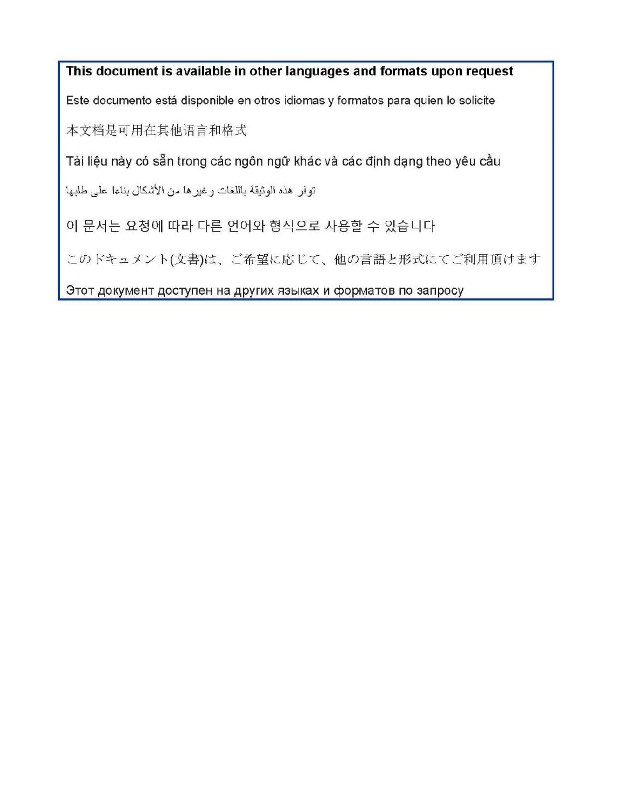This document is available in other languages and formats upon request Este documento está disponible en otros idiomas y formatos para quien lo solicite 本文档是可用在其他语言和格式 Tài liệu này có sẵn trong các ngôn ngữ khác và các định dạng theo yêu cầu توفر هذه الوثيقة باللغات وغيرها من الأشكال بناءا على طلبها 이 문서는 요청에 따라 다른 언어와 형식으로 사용할 수 있습니다 このドキュメント(文書)は、ご希望に応じて、他の言語と形式にてご利用頂けます

Этот документ доступен на других языках и форматов по запросу